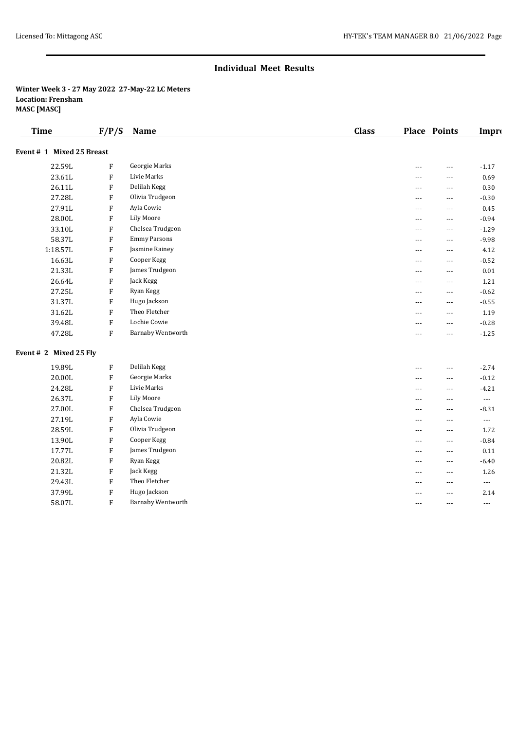# **Individual Meet Results**

### **Winter Week 3 - 27 May 2022 27-May-22 LC Meters Location: Frensham MASC [MASC]**

| <b>Time</b>               | F/P/S                     | <b>Name</b>         | <b>Class</b> |                          | <b>Place Points</b> | Impro                    |
|---------------------------|---------------------------|---------------------|--------------|--------------------------|---------------------|--------------------------|
| Event # 1 Mixed 25 Breast |                           |                     |              |                          |                     |                          |
| 22.59L                    | $\mathbf F$               | Georgie Marks       |              | ---                      | ---                 | $-1.17$                  |
| 23.61L                    | $\rm F$                   | Livie Marks         |              | ---                      | ---                 | 0.69                     |
| 26.11L                    | $\rm F$                   | Delilah Kegg        |              | $\overline{a}$           | $---$               | 0.30                     |
| 27.28L                    | $\rm F$                   | Olivia Trudgeon     |              | $---$                    | $---$               | $-0.30$                  |
| 27.91L                    | F                         | Ayla Cowie          |              | ---                      | $---$               | 0.45                     |
| 28.00L                    | $\rm F$                   | <b>Lily Moore</b>   |              | ---                      | ---                 | $-0.94$                  |
| 33.10L                    | ${\bf F}$                 | Chelsea Trudgeon    |              | $\overline{a}$           | ---                 | $-1.29$                  |
| 58.37L                    | F                         | <b>Emmy Parsons</b> |              | $\overline{a}$           | $---$               | $-9.98$                  |
| 1:18.57L                  | $\rm F$                   | Jasmine Rainey      |              | $---$                    | $---$               | 4.12                     |
| 16.63L                    | $\boldsymbol{\mathrm{F}}$ | Cooper Kegg         |              | $\overline{a}$           | ---                 | $-0.52$                  |
| 21.33L                    | $\rm F$                   | James Trudgeon      |              | $\overline{a}$           | ---                 | $0.01\,$                 |
| 26.64L                    | $\rm F$                   | Jack Kegg           |              | $\overline{a}$           | ---                 | 1.21                     |
| 27.25L                    | $\rm F$                   | Ryan Kegg           |              | $\overline{a}$           | $---$               | $-0.62$                  |
| 31.37L                    | $\rm F$                   | Hugo Jackson        |              | $---$                    | $---$               | $-0.55$                  |
| 31.62L                    | $\rm F$                   | Theo Fletcher       |              | ---                      | ---                 | 1.19                     |
| 39.48L                    | $\rm F$                   | Lochie Cowie        |              | ---                      | ---                 | $-0.28$                  |
| 47.28L                    | $\rm F$                   | Barnaby Wentworth   |              | $\overline{a}$           | ---                 | $-1.25$                  |
| Event # 2 Mixed 25 Fly    |                           |                     |              |                          |                     |                          |
| 19.89L                    | $\boldsymbol{\mathrm{F}}$ | Delilah Kegg        |              | $\overline{\phantom{a}}$ | ---                 | $-2.74$                  |
| 20.00L                    | ${\bf F}$                 | Georgie Marks       |              | $\overline{a}$           | ---                 | $-0.12$                  |
| 24.28L                    | $\rm F$                   | Livie Marks         |              | $\overline{a}$           | $---$               | $-4.21$                  |
| 26.37L                    | $\rm F$                   | <b>Lily Moore</b>   |              | $---$                    | $---$               | $\overline{\phantom{a}}$ |
| 27.00L                    | $\boldsymbol{\mathrm{F}}$ | Chelsea Trudgeon    |              | $\overline{a}$           | $\cdots$            | $-8.31$                  |
| 27.19L                    | F                         | Ayla Cowie          |              | ---                      | ---                 | $\scriptstyle\cdots$     |
| 28.59L                    | $\rm F$                   | Olivia Trudgeon     |              | $\overline{a}$           | ---                 | 1.72                     |
| 13.90L                    | F                         | Cooper Kegg         |              | $\overline{a}$           | $---$               | $-0.84$                  |
| 17.77L                    | F                         | James Trudgeon      |              | $---$                    | $---$               | 0.11                     |
| 20.82L                    | F                         | Ryan Kegg           |              | ---                      | $\cdots$            | $-6.40$                  |
| 21.32L                    | $\rm F$                   | Jack Kegg           |              | ---                      | ---                 | 1.26                     |
| 29.43L                    | $\rm F$                   | Theo Fletcher       |              | $\overline{a}$           | ---                 | $---$                    |
| 37.99L                    | $\rm F$                   | Hugo Jackson        |              | $\overline{a}$           | $---$               | 2.14                     |
| 58.07L                    | F                         | Barnaby Wentworth   |              | $\overline{a}$           | $\overline{a}$      | $\overline{\phantom{a}}$ |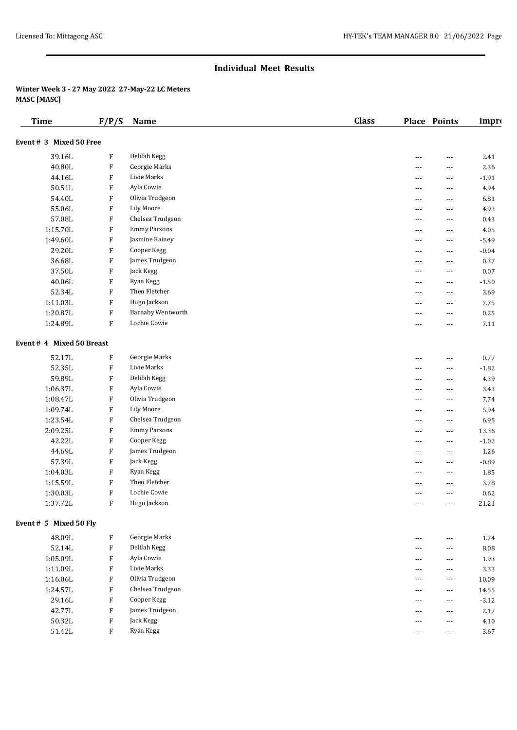#### **Individual Meet Results**

## **Winter Week 3 - 27 May 2022 27-May-22 LC Meters MASC [MASC]**

| <b>Time</b>               | F/P/S                     | Name                     | <b>Class</b> |                | Place Points | Impro   |
|---------------------------|---------------------------|--------------------------|--------------|----------------|--------------|---------|
| Event # 3 Mixed 50 Free   |                           |                          |              |                |              |         |
| 39.16L                    | F                         | Delilah Kegg             |              | ---            | ---          | 2.41    |
| 40.80L                    | F                         | Georgie Marks            |              | ---            | ---          | 2.36    |
| 44.16L                    | F                         | Livie Marks              |              | ---            | ---          | $-1.91$ |
| 50.51L                    | $\boldsymbol{\mathrm{F}}$ | Ayla Cowie               |              | $\overline{a}$ | ---          | 4.94    |
| 54.40L                    | F                         | Olivia Trudgeon          |              | ---            | ---          | 6.81    |
| 55.06L                    | F                         | <b>Lily Moore</b>        |              | ---            | ---          | 4.93    |
| 57.08L                    | $\boldsymbol{\mathrm{F}}$ | Chelsea Trudgeon         |              | $\overline{a}$ | ---          | 0.43    |
| 1:15.70L                  | $\boldsymbol{\mathrm{F}}$ | <b>Emmy Parsons</b>      |              | ---            | ---          | 4.05    |
| 1:49.60L                  | F                         | Jasmine Rainey           |              | ---            | ---          | $-5.49$ |
| 29.20L                    | F                         | Cooper Kegg              |              | $\overline{a}$ | ---          | $-0.04$ |
| 36.68L                    | $\boldsymbol{\mathrm{F}}$ | James Trudgeon           |              | ---            | ---          | 0.37    |
| 37.50L                    | F                         | Jack Kegg                |              | ---            | ---          | 0.07    |
| 40.06L                    | F                         | Ryan Kegg                |              | $\overline{a}$ | ---          | $-1.50$ |
| 52.34L                    | $\boldsymbol{\mathrm{F}}$ | Theo Fletcher            |              | ---            | ---          | 3.69    |
| 1:11.03L                  | F                         | Hugo Jackson             |              | ---            | ---          | 7.75    |
| 1:20.87L                  | F                         | <b>Barnaby Wentworth</b> |              | ---            | ---          | 0.25    |
| 1:24.89L                  | F                         | Lochie Cowie             |              | ---            | ---          | 7.11    |
| Event # 4 Mixed 50 Breast |                           |                          |              |                |              |         |
| 52.17L                    | $\boldsymbol{\mathrm{F}}$ | Georgie Marks            |              | $---$          | ---          | 0.77    |
| 52.35L                    | F                         | Livie Marks              |              | $---$          | ---          | $-1.82$ |
| 59.89L                    | F                         | Delilah Kegg             |              | $---$          | ---          | 4.39    |
| 1:06.37L                  | F                         | Ayla Cowie               |              | $\overline{a}$ | $\cdots$     | 3.43    |
| 1:08.47L                  | F                         | Olivia Trudgeon          |              | $---$          | ---          | 7.74    |
| 1:09.74L                  | F                         | <b>Lily Moore</b>        |              | $---$          | ---          | 5.94    |
| 1:23.54L                  | F                         | Chelsea Trudgeon         |              | $\overline{a}$ | $---$        | 6.95    |
| 2:09.25L                  | F                         | <b>Emmy Parsons</b>      |              | $---$          | $\cdots$     | 13.36   |
| 42.22L                    | F                         | Cooper Kegg              |              | $---$          | ---          | $-1.02$ |
| 44.69L                    | F                         | James Trudgeon           |              | $\overline{a}$ | $\cdots$     | 1.26    |
| 57.39L                    | F                         | Jack Kegg                |              | $\overline{a}$ | $\cdots$     | $-0.89$ |
| 1:04.03L                  | F                         | Ryan Kegg                |              | $---$          | ---          | 1.85    |
| 1:15.59L                  | F                         | Theo Fletcher            |              | $---$          | $---$        | 3.78    |
| 1:30.03L                  | F                         | Lochie Cowie             |              | $---$          | $---$        | 0.62    |
| 1:37.72L                  | F                         | Hugo Jackson             |              | $---$          | $---$        | 21.21   |
| Event # 5 Mixed 50 Fly    |                           |                          |              |                |              |         |
| 48.09L                    | F                         | Georgie Marks            |              | ---            | ---          | 1.74    |
| 52.14L                    | ${\rm F}$                 | Delilah Kegg             |              | ---            | $\cdots$     | 8.08    |
| 1:05.09L                  | F                         | Ayla Cowie               |              | ---            | $---$        | 1.93    |
| 1:11.09L                  | F                         | Livie Marks              |              | ---            | $\cdots$     | 3.33    |
| 1:16.06L                  | F                         | Olivia Trudgeon          |              | ---            | $\cdots$     | 10.09   |
| 1:24.57L                  | F                         | Chelsea Trudgeon         |              | ---            | $\cdots$     | 14.55   |
| 29.16L                    | F                         | Cooper Kegg              |              | ---            | $\cdots$     | $-3.12$ |
| 42.77L                    | F                         | James Trudgeon           |              | ---            | ---          | 2.17    |
| 50.32L                    | $\rm F$                   | Jack Kegg                |              | ---            | $\cdots$     | 4.10    |
| 51.42L                    | F                         | Ryan Kegg                |              | ---            | ---          | 3.67    |